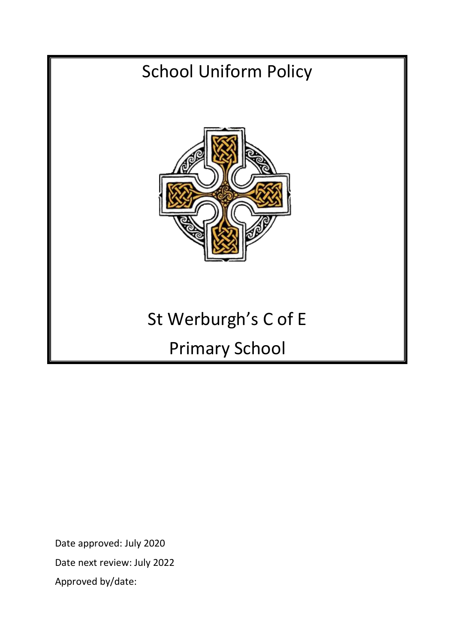# School Uniform Policy St Werburgh's C of E Primary School

Date approved: July 2020 Date next review: July 2022 Approved by/date: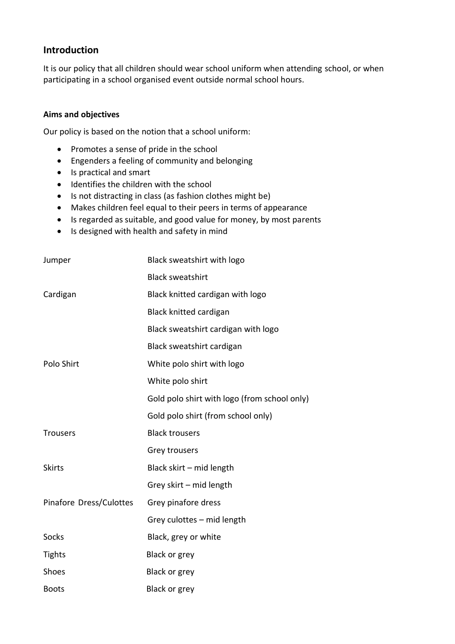# **Introduction**

It is our policy that all children should wear school uniform when attending school, or when participating in a school organised event outside normal school hours.

## **Aims and objectives**

Our policy is based on the notion that a school uniform:

- Promotes a sense of pride in the school
- Engenders a feeling of community and belonging
- Is practical and smart
- Identifies the children with the school
- Is not distracting in class (as fashion clothes might be)
- Makes children feel equal to their peers in terms of appearance
- Is regarded as suitable, and good value for money, by most parents
- Is designed with health and safety in mind

| Jumper                  | Black sweatshirt with logo                   |
|-------------------------|----------------------------------------------|
|                         | <b>Black sweatshirt</b>                      |
| Cardigan                | Black knitted cardigan with logo             |
|                         | <b>Black knitted cardigan</b>                |
|                         | Black sweatshirt cardigan with logo          |
|                         | Black sweatshirt cardigan                    |
| Polo Shirt              | White polo shirt with logo                   |
|                         | White polo shirt                             |
|                         | Gold polo shirt with logo (from school only) |
|                         | Gold polo shirt (from school only)           |
| <b>Trousers</b>         | <b>Black trousers</b>                        |
|                         | Grey trousers                                |
| <b>Skirts</b>           | Black skirt - mid length                     |
|                         | Grey skirt - mid length                      |
| Pinafore Dress/Culottes | Grey pinafore dress                          |
|                         | Grey culottes - mid length                   |
| Socks                   | Black, grey or white                         |
| <b>Tights</b>           | <b>Black or grey</b>                         |
| Shoes                   | <b>Black or grey</b>                         |
| <b>Boots</b>            | Black or grey                                |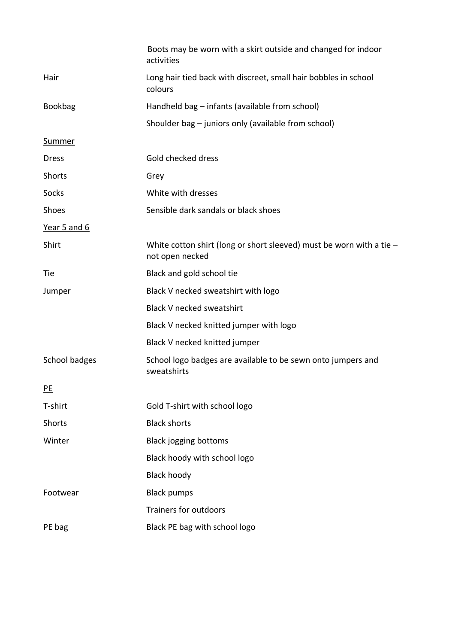|                | Boots may be worn with a skirt outside and changed for indoor<br>activities               |
|----------------|-------------------------------------------------------------------------------------------|
| Hair           | Long hair tied back with discreet, small hair bobbles in school<br>colours                |
| <b>Bookbag</b> | Handheld bag - infants (available from school)                                            |
|                | Shoulder bag - juniors only (available from school)                                       |
| <b>Summer</b>  |                                                                                           |
| <b>Dress</b>   | Gold checked dress                                                                        |
| <b>Shorts</b>  | Grey                                                                                      |
| Socks          | White with dresses                                                                        |
| Shoes          | Sensible dark sandals or black shoes                                                      |
| Year 5 and 6   |                                                                                           |
| Shirt          | White cotton shirt (long or short sleeved) must be worn with a tie $-$<br>not open necked |
| Tie            | Black and gold school tie                                                                 |
| Jumper         | Black V necked sweatshirt with logo                                                       |
|                | <b>Black V necked sweatshirt</b>                                                          |
|                | Black V necked knitted jumper with logo                                                   |
|                | Black V necked knitted jumper                                                             |
| School badges  | School logo badges are available to be sewn onto jumpers and<br>sweatshirts               |
| P <sub>E</sub> |                                                                                           |
| T-shirt        | Gold T-shirt with school logo                                                             |
| <b>Shorts</b>  | <b>Black shorts</b>                                                                       |
| Winter         | <b>Black jogging bottoms</b>                                                              |
|                | Black hoody with school logo                                                              |
|                | <b>Black hoody</b>                                                                        |
| Footwear       | <b>Black pumps</b>                                                                        |
|                | Trainers for outdoors                                                                     |
| PE bag         | Black PE bag with school logo                                                             |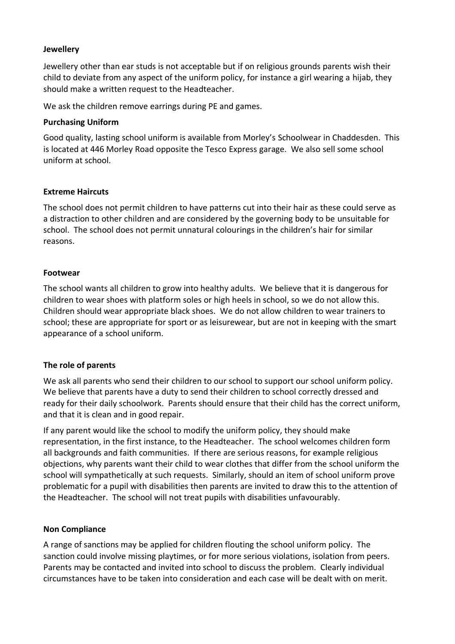#### **Jewellery**

Jewellery other than ear studs is not acceptable but if on religious grounds parents wish their child to deviate from any aspect of the uniform policy, for instance a girl wearing a hijab, they should make a written request to the Headteacher.

We ask the children remove earrings during PE and games.

#### **Purchasing Uniform**

Good quality, lasting school uniform is available from Morley's Schoolwear in Chaddesden. This is located at 446 Morley Road opposite the Tesco Express garage. We also sell some school uniform at school.

#### **Extreme Haircuts**

The school does not permit children to have patterns cut into their hair as these could serve as a distraction to other children and are considered by the governing body to be unsuitable for school. The school does not permit unnatural colourings in the children's hair for similar reasons.

#### **Footwear**

The school wants all children to grow into healthy adults. We believe that it is dangerous for children to wear shoes with platform soles or high heels in school, so we do not allow this. Children should wear appropriate black shoes. We do not allow children to wear trainers to school; these are appropriate for sport or as leisurewear, but are not in keeping with the smart appearance of a school uniform.

# **The role of parents**

We ask all parents who send their children to our school to support our school uniform policy. We believe that parents have a duty to send their children to school correctly dressed and ready for their daily schoolwork. Parents should ensure that their child has the correct uniform, and that it is clean and in good repair.

If any parent would like the school to modify the uniform policy, they should make representation, in the first instance, to the Headteacher. The school welcomes children form all backgrounds and faith communities. If there are serious reasons, for example religious objections, why parents want their child to wear clothes that differ from the school uniform the school will sympathetically at such requests. Similarly, should an item of school uniform prove problematic for a pupil with disabilities then parents are invited to draw this to the attention of the Headteacher. The school will not treat pupils with disabilities unfavourably.

# **Non Compliance**

A range of sanctions may be applied for children flouting the school uniform policy. The sanction could involve missing playtimes, or for more serious violations, isolation from peers. Parents may be contacted and invited into school to discuss the problem. Clearly individual circumstances have to be taken into consideration and each case will be dealt with on merit.